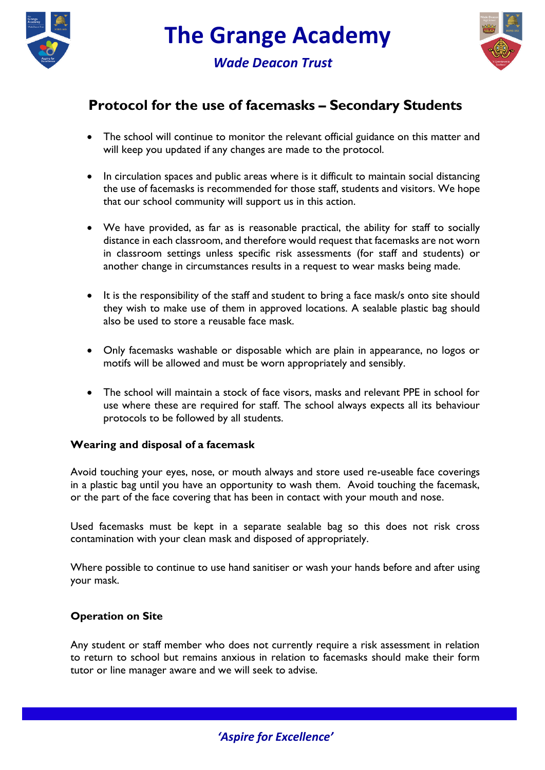

*Wade Deacon Trust*



## **Protocol for the use of facemasks – Secondary Students**

- The school will continue to monitor the relevant official guidance on this matter and will keep you updated if any changes are made to the protocol.
- In circulation spaces and public areas where is it difficult to maintain social distancing the use of facemasks is recommended for those staff, students and visitors. We hope that our school community will support us in this action.
- We have provided, as far as is reasonable practical, the ability for staff to socially distance in each classroom, and therefore would request that facemasks are not worn in classroom settings unless specific risk assessments (for staff and students) or another change in circumstances results in a request to wear masks being made.
- It is the responsibility of the staff and student to bring a face mask/s onto site should they wish to make use of them in approved locations. A sealable plastic bag should also be used to store a reusable face mask.
- Only facemasks washable or disposable which are plain in appearance, no logos or motifs will be allowed and must be worn appropriately and sensibly.
- The school will maintain a stock of face visors, masks and relevant PPE in school for use where these are required for staff. The school always expects all its behaviour protocols to be followed by all students.

## **Wearing and disposal of a facemask**

Avoid touching your eyes, nose, or mouth always and store used re-useable face coverings in a plastic bag until you have an opportunity to wash them. Avoid touching the facemask, or the part of the face covering that has been in contact with your mouth and nose.

Used facemasks must be kept in a separate sealable bag so this does not risk cross contamination with your clean mask and disposed of appropriately.

Where possible to continue to use hand sanitiser or wash your hands before and after using your mask.

## **Operation on Site**

Any student or staff member who does not currently require a risk assessment in relation to return to school but remains anxious in relation to facemasks should make their form tutor or line manager aware and we will seek to advise.

## *'Aspire for Excellence'*